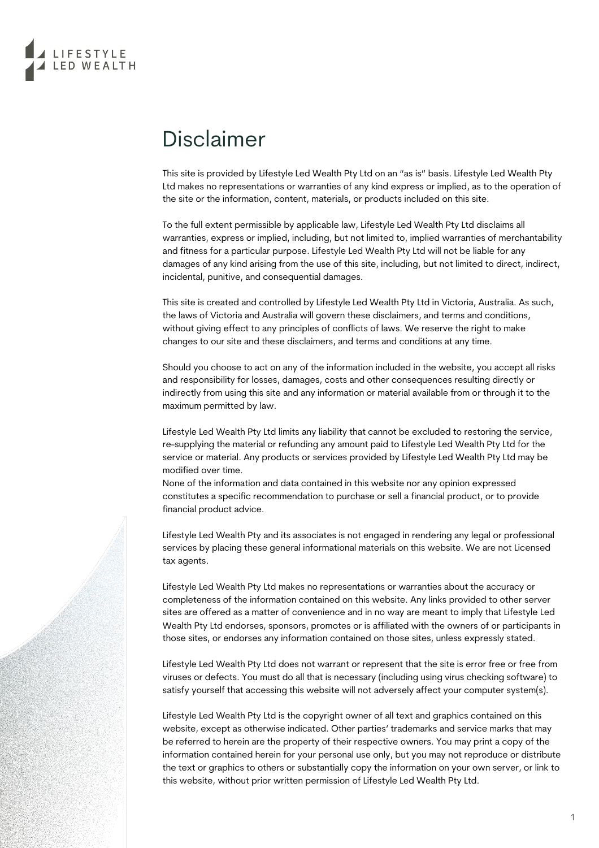

## Disclaimer

This site is provided by Lifestyle Led Wealth Pty Ltd on an "as is" basis. Lifestyle Led Wealth Pty Ltd makes no representations or warranties of any kind express or implied, as to the operation of the site or the information, content, materials, or products included on this site.

To the full extent permissible by applicable law, Lifestyle Led Wealth Pty Ltd disclaims all warranties, express or implied, including, but not limited to, implied warranties of merchantability and fitness for a particular purpose. Lifestyle Led Wealth Pty Ltd will not be liable for any damages of any kind arising from the use of this site, including, but not limited to direct, indirect, incidental, punitive, and consequential damages.

This site is created and controlled by Lifestyle Led Wealth Pty Ltd in Victoria, Australia. As such, the laws of Victoria and Australia will govern these disclaimers, and terms and conditions, without giving effect to any principles of conflicts of laws. We reserve the right to make changes to our site and these disclaimers, and terms and conditions at any time.

Should you choose to act on any of the information included in the website, you accept all risks and responsibility for losses, damages, costs and other consequences resulting directly or indirectly from using this site and any information or material available from or through it to the maximum permitted by law.

Lifestyle Led Wealth Pty Ltd limits any liability that cannot be excluded to restoring the service, re-supplying the material or refunding any amount paid to Lifestyle Led Wealth Pty Ltd for the service or material. Any products or services provided by Lifestyle Led Wealth Pty Ltd may be modified over time.

None of the information and data contained in this website nor any opinion expressed constitutes a specific recommendation to purchase or sell a financial product, or to provide financial product advice.

Lifestyle Led Wealth Pty and its associates is not engaged in rendering any legal or professional services by placing these general informational materials on this website. We are not Licensed tax agents.

Lifestyle Led Wealth Pty Ltd makes no representations or warranties about the accuracy or completeness of the information contained on this website. Any links provided to other server sites are offered as a matter of convenience and in no way are meant to imply that Lifestyle Led Wealth Pty Ltd endorses, sponsors, promotes or is affiliated with the owners of or participants in those sites, or endorses any information contained on those sites, unless expressly stated.

Lifestyle Led Wealth Pty Ltd does not warrant or represent that the site is error free or free from viruses or defects. You must do all that is necessary (including using virus checking software) to satisfy yourself that accessing this website will not adversely affect your computer system(s).

Lifestyle Led Wealth Pty Ltd is the copyright owner of all text and graphics contained on this website, except as otherwise indicated. Other parties' trademarks and service marks that may be referred to herein are the property of their respective owners. You may print a copy of the information contained herein for your personal use only, but you may not reproduce or distribute the text or graphics to others or substantially copy the information on your own server, or link to this website, without prior written permission of Lifestyle Led Wealth Pty Ltd.

1